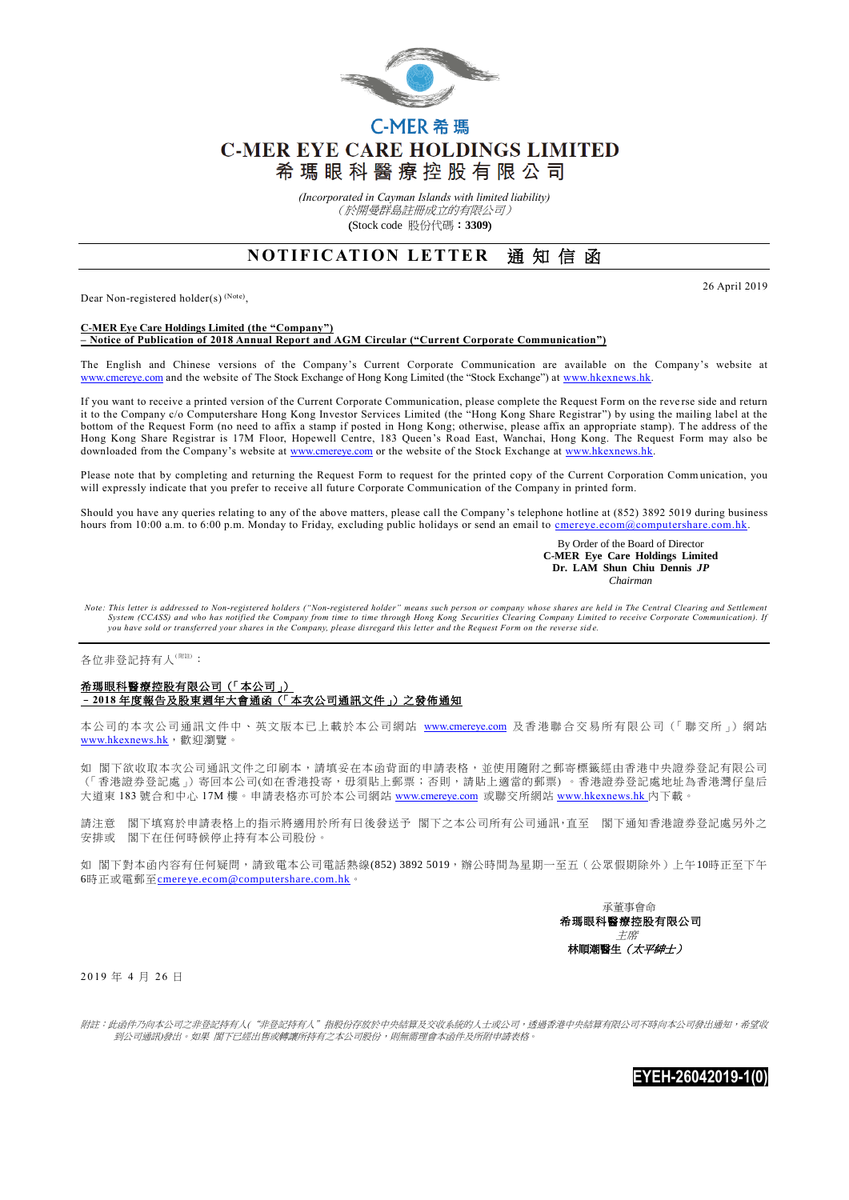

# C-MER 希瑪 **C-MER EYE CARE HOLDINGS LIMITED** 希瑪眼科醫療控股有限公司

*(Incorporated in Cayman Islands with limited liability)* (於開曼群島註冊成立的有限公司) (Stock code 股份代碼:**3309**)

## **NOTIFICATION LETTER 通知信函**

Dear Non-registered holder(s)<sup>(Note)</sup>,

26 April 2019

#### **C-MER Eye Care Holdings Limited (the "Company") – Notice of Publication of 2018 Annual Report and AGM Circular ("Current Corporate Communication")**

The English and Chinese versions of the Company's Current Corporate Communication are available on the Company's website at [www.cmereye.com](http://www.cmereye.com/) and the website of The Stock Exchange of Hong Kong Limited (the "Stock Exchange") at [www.hkexnews.hk.](http://www.hkexnews.hk/)

If you want to receive a printed version of the Current Corporate Communication, please complete the Request Form on the reve rse side and return it to the Company c/o Computershare Hong Kong Investor Services Limited (the "Hong Kong Share Registrar") by using the mailing label at the bottom of the Request Form (no need to affix a stamp if posted in Hong Kong; otherwise, please affix an appropriate stamp). The address of the Hong Kong Share Registrar is 17M Floor, Hopewell Centre, 183 Queen's Road East, Wanchai, Hong Kong. The Request Form may also be downloaded from the Company's website a[t www.cmereye.com](http://www.cmereye.com/) or the website of the Stock Exchange at www.hkexnews.hk

Please note that by completing and returning the Request Form to request for the printed copy of the Current Corporation Comm unication, you will expressly indicate that you prefer to receive all future Corporate Communication of the Company in printed form.

Should you have any queries relating to any of the above matters, please call the Company's telephone hotline at (852) 3892 5019 during business hours from 10:00 a.m. to 6:00 p.m. Monday to Friday, excluding public holidays or send an email to cmereye.ecom@computershare.com.hk

> By Order of the Board of Director  **C-MER Eye Care Holdings Limited Dr. LAM Shun Chiu Dennis** *JP Chairman*

*Note: This letter is addressed to Non-registered holders ("Non-registered holder" means such person or company whose shares are held in The Central Clearing and Settlement* System (CCASS) and who has notified the Company from time to time through Hong Kong Securities Clearing Company Limited to receive Corporate Communication). If<br>you have sold or transferred your shares in the Company, pleas

#### 各位非登記持有人<sup>(附註)</sup>:

### 希瑪眼科醫療控股有限公司(「本公司」) –**2018** 年度報告及股東週年大會通函(「本次公司通訊文件」)之發佈通知

本公司的本次公司通訊文件中、英文版本已上載於本公司網站 [www.cmereye.com](http://www.cmereye.com/) 及香港聯合交易所有限公司(「聯交所」) 網站 [www.hkexnews.hk](http://www.hkexnews.hk/), 歡迎瀏覽。

如 閣下欲收取本次公司通訊文件之印刷本,請填妥在本函背面的申請表格,並使用隨附之郵寄標籤經由香港中央證券登記有限公司 (「香港證券登記處」)寄回本公司(如在香港投寄,毋須貼上郵票;否則,請貼上適當的郵票) 。香港證券登記處地址為香港灣仔皇后 大道東 183 號合和中心 17M 樓。申請表格亦可於本公司網站 [www.cmereye.com](http://www.cmereye.com/) 或聯交所網站 [www.hkexnews.hk](http://www.hkexnews.hk/) 內下載。

請注意 閣下填寫於申請表格上的指示將適用於所有日後發送予 閣下之本公司所有公司通訊,直至 閣下通知香港證券登記處另外之 安排或 閣下在任何時候停止持有本公司股份。

如 閣下對本函內容有任何疑問,請致電本公司電話熱線(852) 3892 5019,辦公時間為星期一至五(公眾假期除外)上午10時正至下午 6時正或電郵至[cmereye.ecom@computershare.com.hk](mailto:cmereye.ecom@computershare.com.hk)。

> 承董事會命 希瑪眼科醫療控股有限公司 主席 林順潮醫生 (太平紳士)

2019 年 4 月 26 日

附註:此函件乃向本公司之非登記持有人("非登記持有人"指股份存放於中央結算及交收系統的人士或公司,透過香港中央結算有限公司不時向本公司發出通知,希望收 到公司通訊)發出。如果 閣下已經出售或轉讓所持有之本公司股份,則無需理會本函件及所附申請表格。